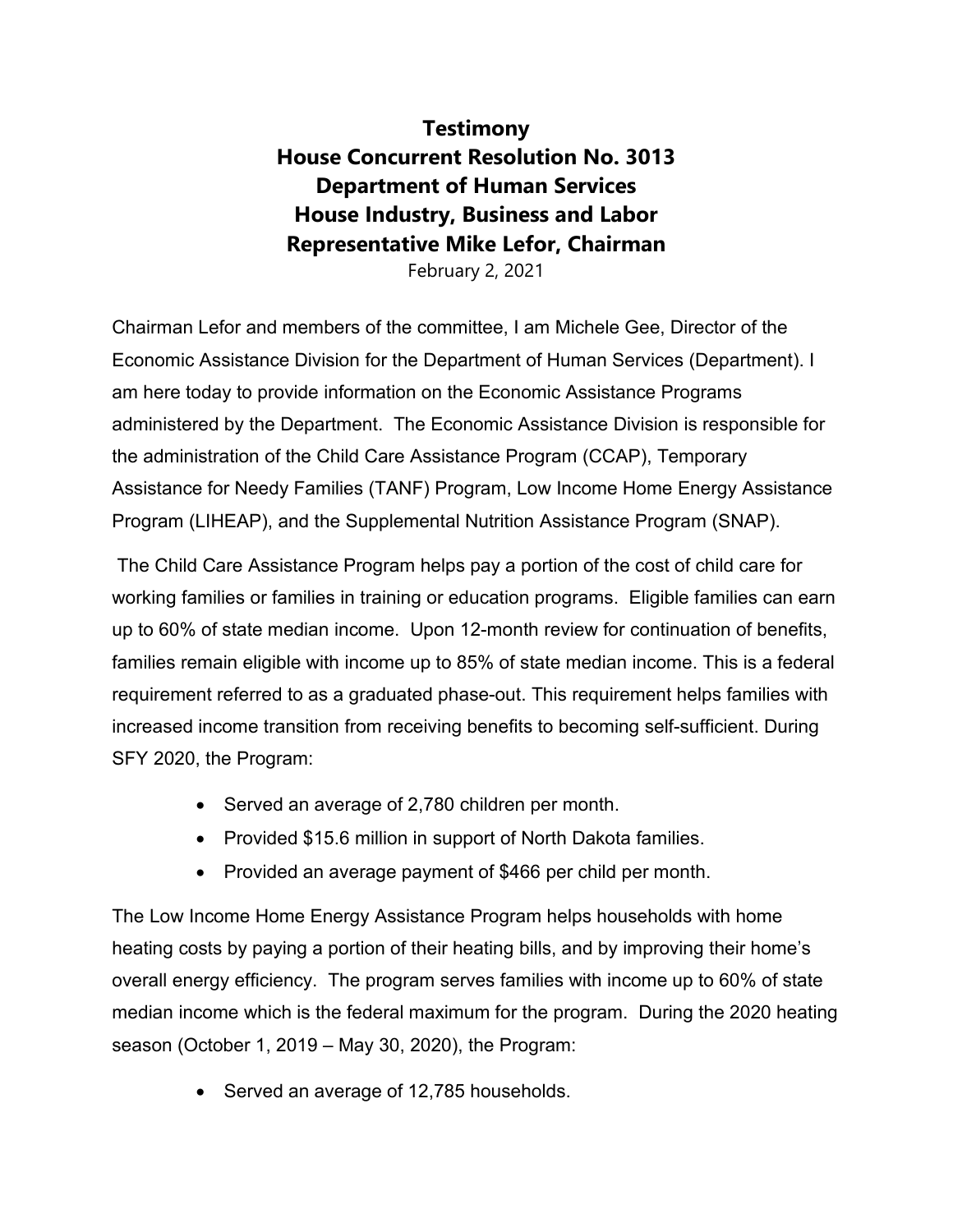## **Testimony House Concurrent Resolution No. 3013 Department of Human Services House Industry, Business and Labor Representative Mike Lefor, Chairman**

February 2, 2021

Chairman Lefor and members of the committee, I am Michele Gee, Director of the Economic Assistance Division for the Department of Human Services (Department). I am here today to provide information on the Economic Assistance Programs administered by the Department. The Economic Assistance Division is responsible for the administration of the Child Care Assistance Program (CCAP), Temporary Assistance for Needy Families (TANF) Program, Low Income Home Energy Assistance Program (LIHEAP), and the Supplemental Nutrition Assistance Program (SNAP).

The Child Care Assistance Program helps pay a portion of the cost of child care for working families or families in training or education programs. Eligible families can earn up to 60% of state median income. Upon 12-month review for continuation of benefits, families remain eligible with income up to 85% of state median income. This is a federal requirement referred to as a graduated phase-out. This requirement helps families with increased income transition from receiving benefits to becoming self-sufficient. During SFY 2020, the Program:

- Served an average of 2,780 children per month.
- Provided \$15.6 million in support of North Dakota families.
- Provided an average payment of \$466 per child per month.

The Low Income Home Energy Assistance Program helps households with home heating costs by paying a portion of their heating bills, and by improving their home's overall energy efficiency. The program serves families with income up to 60% of state median income which is the federal maximum for the program. During the 2020 heating season (October 1, 2019 – May 30, 2020), the Program:

• Served an average of 12,785 households.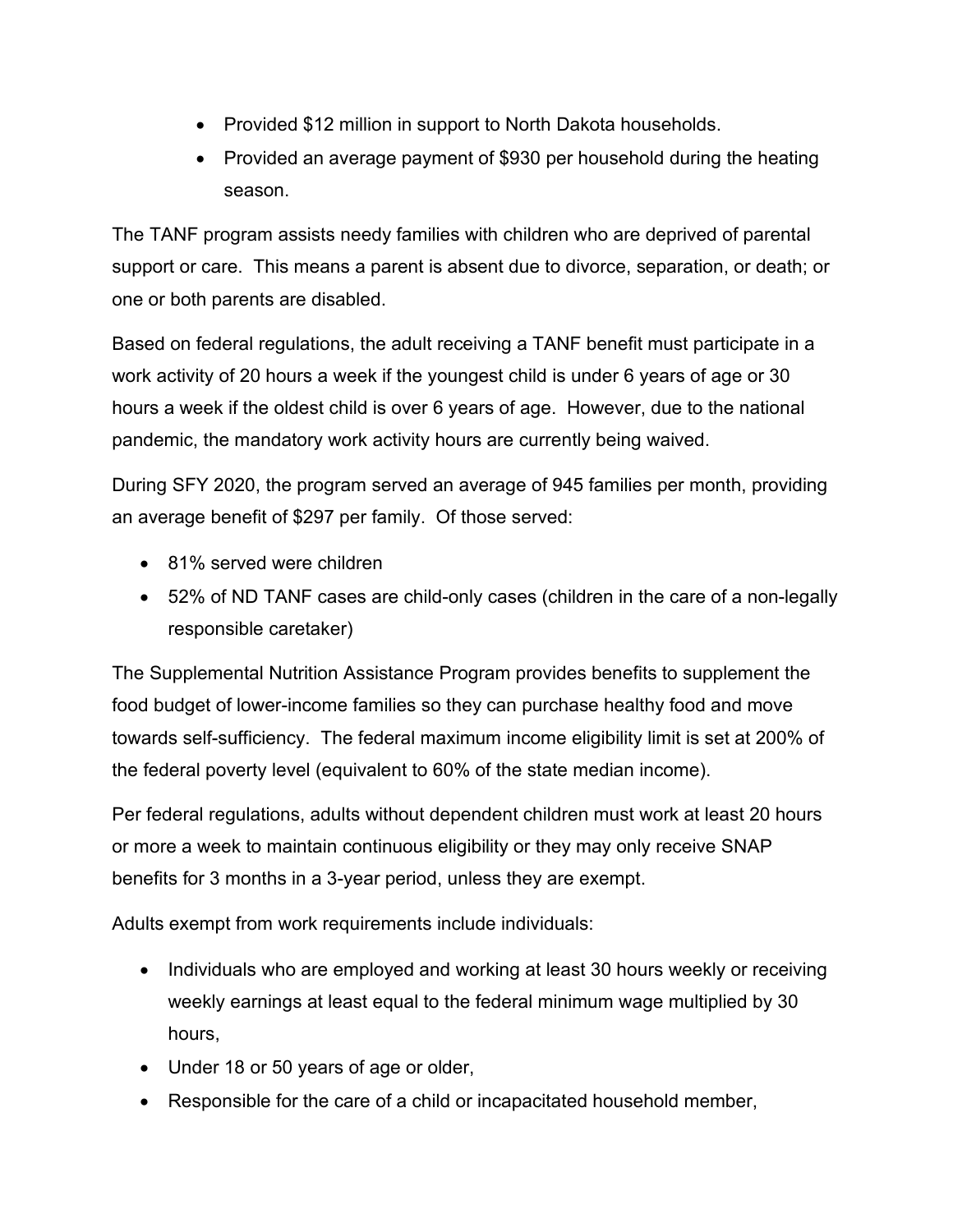- Provided \$12 million in support to North Dakota households.
- Provided an average payment of \$930 per household during the heating season.

The TANF program assists needy families with children who are deprived of parental support or care. This means a parent is absent due to divorce, separation, or death; or one or both parents are disabled.

Based on federal regulations, the adult receiving a TANF benefit must participate in a work activity of 20 hours a week if the youngest child is under 6 years of age or 30 hours a week if the oldest child is over 6 years of age. However, due to the national pandemic, the mandatory work activity hours are currently being waived.

During SFY 2020, the program served an average of 945 families per month, providing an average benefit of \$297 per family. Of those served:

- 81% served were children
- 52% of ND TANF cases are child-only cases (children in the care of a non-legally responsible caretaker)

The Supplemental Nutrition Assistance Program provides benefits to supplement the food budget of lower-income families so they can purchase healthy food and move towards self-sufficiency. The federal maximum income eligibility limit is set at 200% of the federal poverty level (equivalent to 60% of the state median income).

Per federal regulations, adults without dependent children must work at least 20 hours or more a week to maintain continuous eligibility or they may only receive SNAP benefits for 3 months in a 3-year period, unless they are exempt.

Adults exempt from work requirements include individuals:

- Individuals who are employed and working at least 30 hours weekly or receiving weekly earnings at least equal to the federal minimum wage multiplied by 30 hours,
- Under 18 or 50 years of age or older,
- Responsible for the care of a child or incapacitated household member,